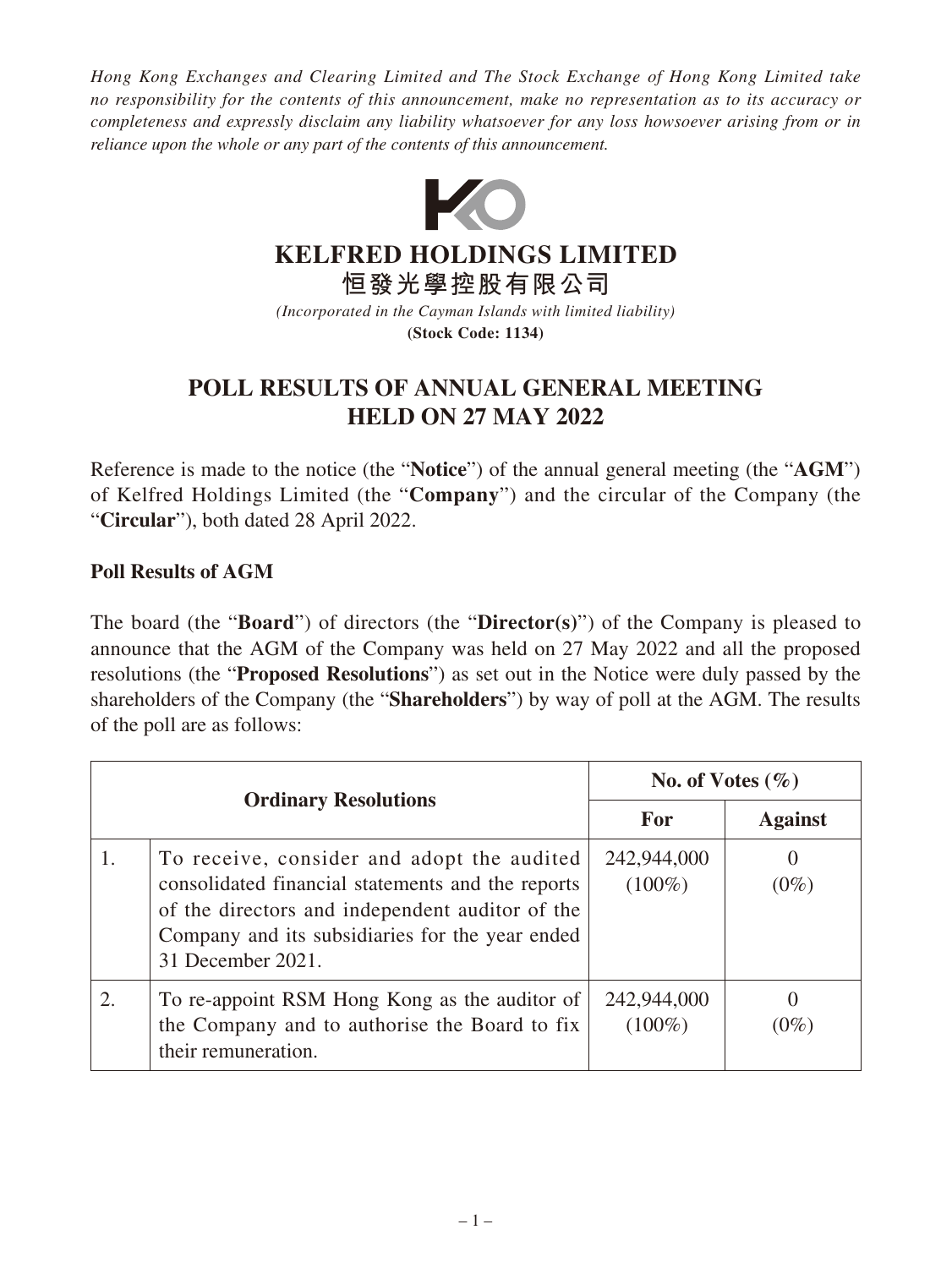*Hong Kong Exchanges and Clearing Limited and The Stock Exchange of Hong Kong Limited take no responsibility for the contents of this announcement, make no representation as to its accuracy or completeness and expressly disclaim any liability whatsoever for any loss howsoever arising from or in reliance upon the whole or any part of the contents of this announcement.*



**KELFRED HOLDINGS LIMITED**

**恒發光學控股有限公司**

*(Incorporated in the Cayman Islands with limited liability)* **(Stock Code: 1134)**

## **POLL RESULTS OF ANNUAL GENERAL MEETING HELD ON 27 MAY 2022**

Reference is made to the notice (the "**Notice**") of the annual general meeting (the "**AGM**") of Kelfred Holdings Limited (the "**Company**") and the circular of the Company (the "**Circular**"), both dated 28 April 2022.

## **Poll Results of AGM**

The board (the "**Board**") of directors (the "**Director(s)**") of the Company is pleased to announce that the AGM of the Company was held on 27 May 2022 and all the proposed resolutions (the "**Proposed Resolutions**") as set out in the Notice were duly passed by the shareholders of the Company (the "**Shareholders**") by way of poll at the AGM. The results of the poll are as follows:

| <b>Ordinary Resolutions</b> |                                                                                                                                                                                                                            | No. of Votes $(\% )$     |                     |
|-----------------------------|----------------------------------------------------------------------------------------------------------------------------------------------------------------------------------------------------------------------------|--------------------------|---------------------|
|                             |                                                                                                                                                                                                                            | For                      | <b>Against</b>      |
|                             | To receive, consider and adopt the audited<br>consolidated financial statements and the reports<br>of the directors and independent auditor of the<br>Company and its subsidiaries for the year ended<br>31 December 2021. | 242,944,000<br>$(100\%)$ | $\theta$<br>$(0\%)$ |
|                             | To re-appoint RSM Hong Kong as the auditor of<br>the Company and to authorise the Board to fix<br>their remuneration.                                                                                                      | 242,944,000<br>$(100\%)$ | $\theta$<br>$(0\%)$ |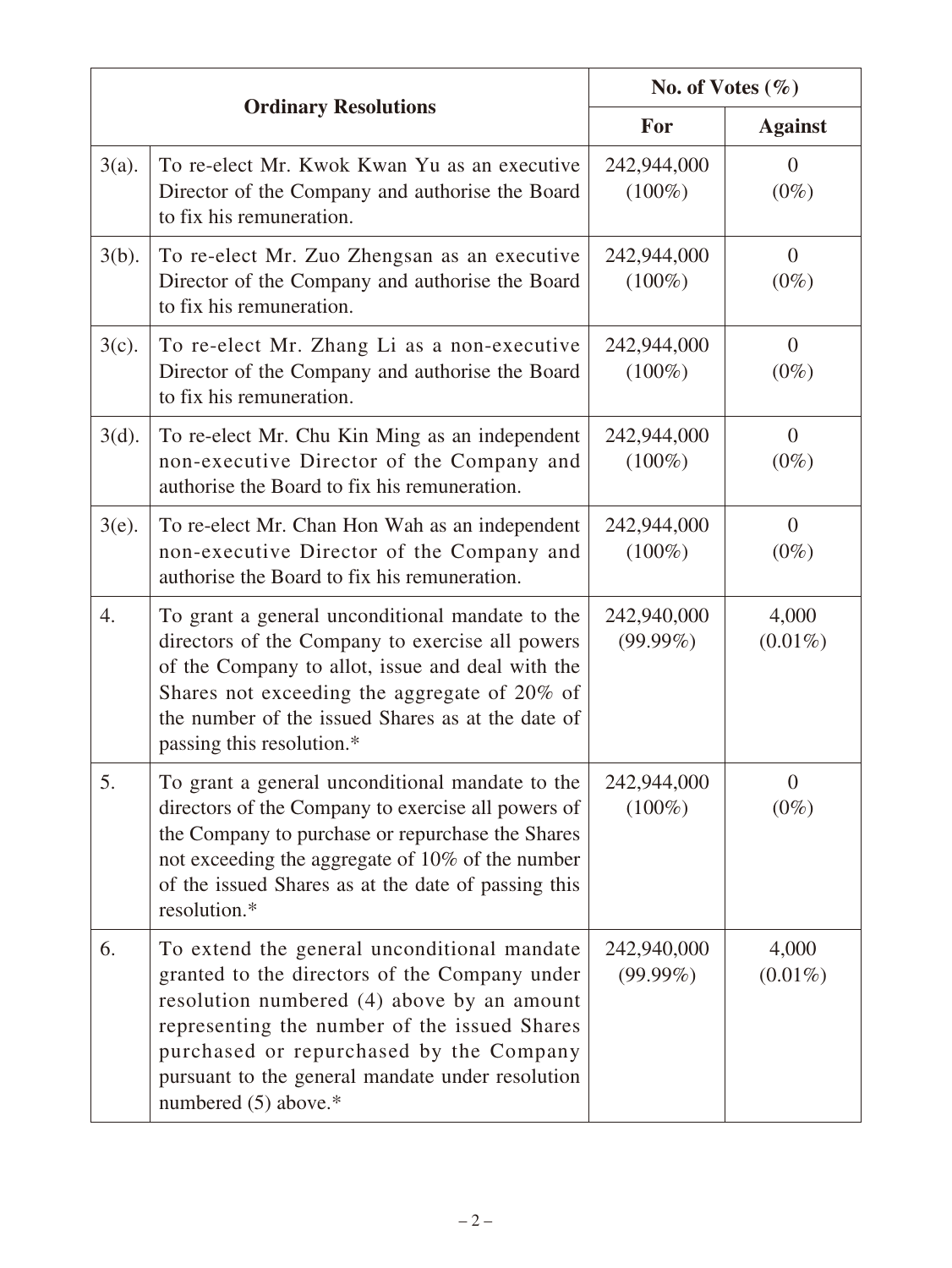| <b>Ordinary Resolutions</b> |                                                                                                                                                                                                                                                                                                                   | No. of Votes $(\% )$       |                           |
|-----------------------------|-------------------------------------------------------------------------------------------------------------------------------------------------------------------------------------------------------------------------------------------------------------------------------------------------------------------|----------------------------|---------------------------|
|                             |                                                                                                                                                                                                                                                                                                                   | For                        | <b>Against</b>            |
| $3(a)$ .                    | To re-elect Mr. Kwok Kwan Yu as an executive<br>Director of the Company and authorise the Board<br>to fix his remuneration.                                                                                                                                                                                       | 242,944,000<br>$(100\%)$   | $\overline{0}$<br>$(0\%)$ |
| $3(b)$ .                    | To re-elect Mr. Zuo Zhengsan as an executive<br>Director of the Company and authorise the Board<br>to fix his remuneration.                                                                                                                                                                                       | 242,944,000<br>$(100\%)$   | $\theta$<br>$(0\%)$       |
| $3(c)$ .                    | To re-elect Mr. Zhang Li as a non-executive<br>Director of the Company and authorise the Board<br>to fix his remuneration.                                                                                                                                                                                        | 242,944,000<br>$(100\%)$   | $\overline{0}$<br>$(0\%)$ |
| $3(d)$ .                    | To re-elect Mr. Chu Kin Ming as an independent<br>non-executive Director of the Company and<br>authorise the Board to fix his remuneration.                                                                                                                                                                       | 242,944,000<br>$(100\%)$   | $\theta$<br>$(0\%)$       |
| $3(e)$ .                    | To re-elect Mr. Chan Hon Wah as an independent<br>non-executive Director of the Company and<br>authorise the Board to fix his remuneration.                                                                                                                                                                       | 242,944,000<br>$(100\%)$   | $\theta$<br>$(0\%)$       |
| 4.                          | To grant a general unconditional mandate to the<br>directors of the Company to exercise all powers<br>of the Company to allot, issue and deal with the<br>Shares not exceeding the aggregate of 20% of<br>the number of the issued Shares as at the date of<br>passing this resolution.*                          | 242,940,000<br>$(99.99\%)$ | 4,000<br>$(0.01\%)$       |
| 5.                          | To grant a general unconditional mandate to the<br>directors of the Company to exercise all powers of<br>the Company to purchase or repurchase the Shares<br>not exceeding the aggregate of 10% of the number<br>of the issued Shares as at the date of passing this<br>resolution.*                              | 242,944,000<br>$(100\%)$   | $\overline{0}$<br>$(0\%)$ |
| 6.                          | To extend the general unconditional mandate<br>granted to the directors of the Company under<br>resolution numbered (4) above by an amount<br>representing the number of the issued Shares<br>purchased or repurchased by the Company<br>pursuant to the general mandate under resolution<br>numbered (5) above.* | 242,940,000<br>$(99.99\%)$ | 4,000<br>$(0.01\%)$       |